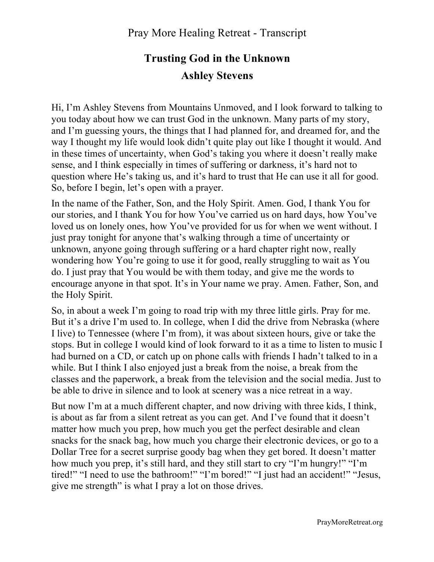## **Trusting God in the Unknown Ashley Stevens**

Hi, I'm Ashley Stevens from Mountains Unmoved, and I look forward to talking to you today about how we can trust God in the unknown. Many parts of my story, and I'm guessing yours, the things that I had planned for, and dreamed for, and the way I thought my life would look didn't quite play out like I thought it would. And in these times of uncertainty, when God's taking you where it doesn't really make sense, and I think especially in times of suffering or darkness, it's hard not to question where He's taking us, and it's hard to trust that He can use it all for good. So, before I begin, let's open with a prayer.

In the name of the Father, Son, and the Holy Spirit. Amen. God, I thank You for our stories, and I thank You for how You've carried us on hard days, how You've loved us on lonely ones, how You've provided for us for when we went without. I just pray tonight for anyone that's walking through a time of uncertainty or unknown, anyone going through suffering or a hard chapter right now, really wondering how You're going to use it for good, really struggling to wait as You do. I just pray that You would be with them today, and give me the words to encourage anyone in that spot. It's in Your name we pray. Amen. Father, Son, and the Holy Spirit.

So, in about a week I'm going to road trip with my three little girls. Pray for me. But it's a drive I'm used to. In college, when I did the drive from Nebraska (where I live) to Tennessee (where I'm from), it was about sixteen hours, give or take the stops. But in college I would kind of look forward to it as a time to listen to music I had burned on a CD, or catch up on phone calls with friends I hadn't talked to in a while. But I think I also enjoyed just a break from the noise, a break from the classes and the paperwork, a break from the television and the social media. Just to be able to drive in silence and to look at scenery was a nice retreat in a way.

But now I'm at a much different chapter, and now driving with three kids, I think, is about as far from a silent retreat as you can get. And I've found that it doesn't matter how much you prep, how much you get the perfect desirable and clean snacks for the snack bag, how much you charge their electronic devices, or go to a Dollar Tree for a secret surprise goody bag when they get bored. It doesn't matter how much you prep, it's still hard, and they still start to cry "I'm hungry!" "I'm tired!" "I need to use the bathroom!" "I'm bored!" "I just had an accident!" "Jesus, give me strength" is what I pray a lot on those drives.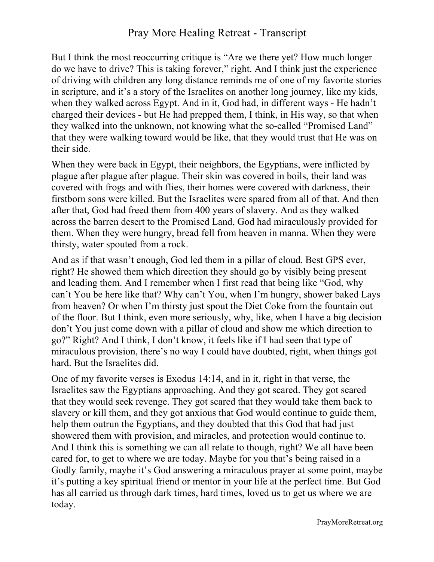## Pray More Healing Retreat - Transcript

But I think the most reoccurring critique is "Are we there yet? How much longer do we have to drive? This is taking forever," right. And I think just the experience of driving with children any long distance reminds me of one of my favorite stories in scripture, and it's a story of the Israelites on another long journey, like my kids, when they walked across Egypt. And in it, God had, in different ways - He hadn't charged their devices - but He had prepped them, I think, in His way, so that when they walked into the unknown, not knowing what the so-called "Promised Land" that they were walking toward would be like, that they would trust that He was on their side.

When they were back in Egypt, their neighbors, the Egyptians, were inflicted by plague after plague after plague. Their skin was covered in boils, their land was covered with frogs and with flies, their homes were covered with darkness, their firstborn sons were killed. But the Israelites were spared from all of that. And then after that, God had freed them from 400 years of slavery. And as they walked across the barren desert to the Promised Land, God had miraculously provided for them. When they were hungry, bread fell from heaven in manna. When they were thirsty, water spouted from a rock.

And as if that wasn't enough, God led them in a pillar of cloud. Best GPS ever, right? He showed them which direction they should go by visibly being present and leading them. And I remember when I first read that being like "God, why can't You be here like that? Why can't You, when I'm hungry, shower baked Lays from heaven? Or when I'm thirsty just spout the Diet Coke from the fountain out of the floor. But I think, even more seriously, why, like, when I have a big decision don't You just come down with a pillar of cloud and show me which direction to go?" Right? And I think, I don't know, it feels like if I had seen that type of miraculous provision, there's no way I could have doubted, right, when things got hard. But the Israelites did.

One of my favorite verses is Exodus 14:14, and in it, right in that verse, the Israelites saw the Egyptians approaching. And they got scared. They got scared that they would seek revenge. They got scared that they would take them back to slavery or kill them, and they got anxious that God would continue to guide them, help them outrun the Egyptians, and they doubted that this God that had just showered them with provision, and miracles, and protection would continue to. And I think this is something we can all relate to though, right? We all have been cared for, to get to where we are today. Maybe for you that's being raised in a Godly family, maybe it's God answering a miraculous prayer at some point, maybe it's putting a key spiritual friend or mentor in your life at the perfect time. But God has all carried us through dark times, hard times, loved us to get us where we are today.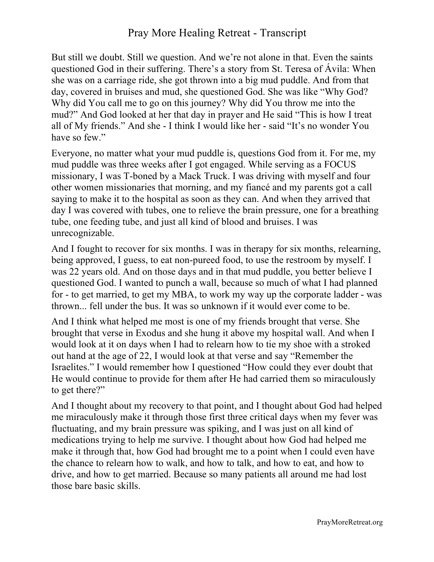But still we doubt. Still we question. And we're not alone in that. Even the saints questioned God in their suffering. There's a story from St. Teresa of Ávila: When she was on a carriage ride, she got thrown into a big mud puddle. And from that day, covered in bruises and mud, she questioned God. She was like "Why God? Why did You call me to go on this journey? Why did You throw me into the mud?" And God looked at her that day in prayer and He said "This is how I treat all of My friends." And she - I think I would like her - said "It's no wonder You have so few."

Everyone, no matter what your mud puddle is, questions God from it. For me, my mud puddle was three weeks after I got engaged. While serving as a FOCUS missionary, I was T-boned by a Mack Truck. I was driving with myself and four other women missionaries that morning, and my fiancé and my parents got a call saying to make it to the hospital as soon as they can. And when they arrived that day I was covered with tubes, one to relieve the brain pressure, one for a breathing tube, one feeding tube, and just all kind of blood and bruises. I was unrecognizable.

And I fought to recover for six months. I was in therapy for six months, relearning, being approved, I guess, to eat non-pureed food, to use the restroom by myself. I was 22 years old. And on those days and in that mud puddle, you better believe I questioned God. I wanted to punch a wall, because so much of what I had planned for - to get married, to get my MBA, to work my way up the corporate ladder - was thrown... fell under the bus. It was so unknown if it would ever come to be.

And I think what helped me most is one of my friends brought that verse. She brought that verse in Exodus and she hung it above my hospital wall. And when I would look at it on days when I had to relearn how to tie my shoe with a stroked out hand at the age of 22, I would look at that verse and say "Remember the Israelites." I would remember how I questioned "How could they ever doubt that He would continue to provide for them after He had carried them so miraculously to get there?"

And I thought about my recovery to that point, and I thought about God had helped me miraculously make it through those first three critical days when my fever was fluctuating, and my brain pressure was spiking, and I was just on all kind of medications trying to help me survive. I thought about how God had helped me make it through that, how God had brought me to a point when I could even have the chance to relearn how to walk, and how to talk, and how to eat, and how to drive, and how to get married. Because so many patients all around me had lost those bare basic skills.